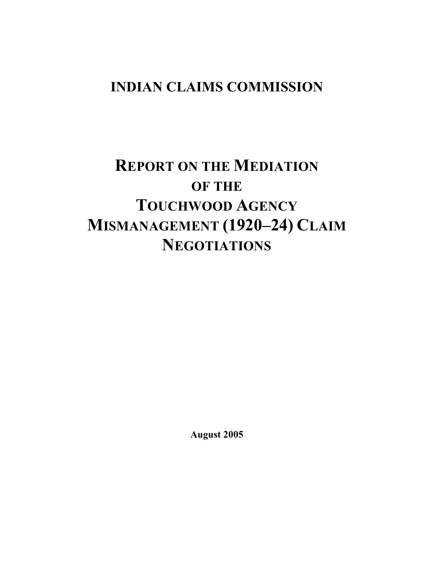## **INDIAN CLAIMS COMMISSION**

# **REPORT ON THE MEDIATION OF THE TOUCHWOOD AGENCY MISMANAGEMENT (1920–24) CLAIM NEGOTIATIONS**

**August 2005**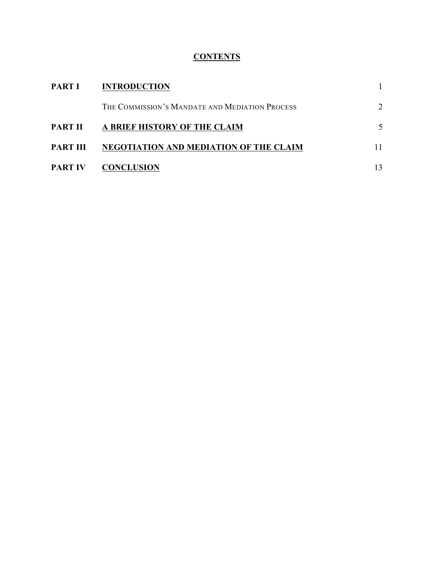### **CONTENTS**

| <b>PART I</b>  | <b>INTRODUCTION</b>                            |    |
|----------------|------------------------------------------------|----|
|                | THE COMMISSION'S MANDATE AND MEDIATION PROCESS |    |
| <b>PART II</b> | A BRIEF HISTORY OF THE CLAIM                   |    |
| PART III       | NEGOTIATION AND MEDIATION OF THE CLAIM         | 11 |
| <b>PART IV</b> | <b>CONCLUSION</b>                              | 13 |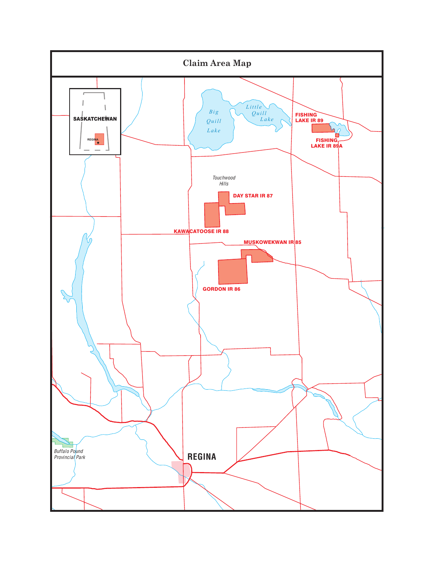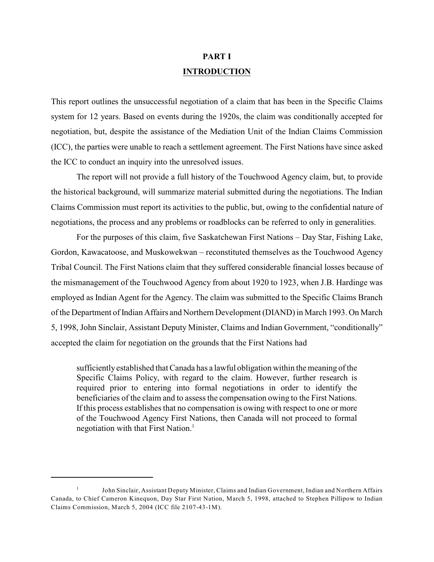## **PART I INTRODUCTION**

This report outlines the unsuccessful negotiation of a claim that has been in the Specific Claims system for 12 years. Based on events during the 1920s, the claim was conditionally accepted for negotiation, but, despite the assistance of the Mediation Unit of the Indian Claims Commission (ICC), the parties were unable to reach a settlement agreement. The First Nations have since asked the ICC to conduct an inquiry into the unresolved issues.

The report will not provide a full history of the Touchwood Agency claim, but, to provide the historical background, will summarize material submitted during the negotiations. The Indian Claims Commission must report its activities to the public, but, owing to the confidential nature of negotiations, the process and any problems or roadblocks can be referred to only in generalities.

For the purposes of this claim, five Saskatchewan First Nations – Day Star, Fishing Lake, Gordon, Kawacatoose, and Muskowekwan – reconstituted themselves as the Touchwood Agency Tribal Council. The First Nations claim that they suffered considerable financial losses because of the mismanagement of the Touchwood Agency from about 1920 to 1923, when J.B. Hardinge was employed as Indian Agent for the Agency. The claim was submitted to the Specific Claims Branch of the Department of Indian Affairs and Northern Development (DIAND) in March 1993. On March 5, 1998, John Sinclair, Assistant Deputy Minister, Claims and Indian Government, "conditionally" accepted the claim for negotiation on the grounds that the First Nations had

sufficiently established that Canada has a lawful obligation within the meaning of the Specific Claims Policy, with regard to the claim. However, further research is required prior to entering into formal negotiations in order to identify the beneficiaries of the claim and to assess the compensation owing to the First Nations. If this process establishes that no compensation is owing with respect to one or more of the Touchwood Agency First Nations, then Canada will not proceed to formal negotiation with that First Nation. $<sup>1</sup>$ </sup>

 $1$  John Sinclair, Assistant Deputy Minister, Claims and Indian Government, Indian and Northern Affairs Canada, to Chief Cameron Kinequon, Day Star First Nation, March 5, 1998, attached to Stephen Pillipow to Indian Claims Commission, March 5, 2004 (ICC file 2107-43-1M).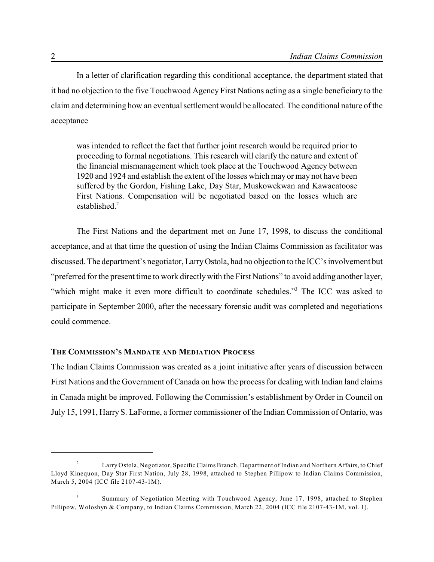In a letter of clarification regarding this conditional acceptance, the department stated that it had no objection to the five Touchwood Agency First Nations acting as a single beneficiary to the claim and determining how an eventual settlement would be allocated. The conditional nature of the acceptance

was intended to reflect the fact that further joint research would be required prior to proceeding to formal negotiations. This research will clarify the nature and extent of the financial mismanagement which took place at the Touchwood Agency between 1920 and 1924 and establish the extent of the losses which may or may not have been suffered by the Gordon, Fishing Lake, Day Star, Muskowekwan and Kawacatoose First Nations. Compensation will be negotiated based on the losses which are established. $2$ 

The First Nations and the department met on June 17, 1998, to discuss the conditional acceptance, and at that time the question of using the Indian Claims Commission as facilitator was discussed. The department's negotiator, LarryOstola, had no objection to the ICC's involvement but "preferred for the present time to work directly with the First Nations" to avoid adding another layer, "which might make it even more difficult to coordinate schedules."<sup>3</sup> The ICC was asked to participate in September 2000, after the necessary forensic audit was completed and negotiations could commence.

#### **THE COMMISSION'S MANDATE AND MEDIATION PROCESS**

The Indian Claims Commission was created as a joint initiative after years of discussion between First Nations and the Government of Canada on how the process for dealing with Indian land claims in Canada might be improved. Following the Commission's establishment by Order in Council on July 15, 1991, Harry S. LaForme, a former commissioner of the Indian Commission of Ontario, was

<sup>&</sup>lt;sup>2</sup> Larry Ostola, Negotiator, Specific Claims Branch, Department of Indian and Northern Affairs, to Chief Lloyd Kinequon, Day Star First Nation, July 28, 1998, attached to Stephen Pillipow to Indian Claims Commission, March 5, 2004 (ICC file 2107-43-1M).

<sup>&</sup>lt;sup>3</sup> Summary of Negotiation Meeting with Touchwood Agency, June 17, 1998, attached to Stephen Pillipow, Woloshyn & Company, to Indian Claims Commission, March 22, 2004 (ICC file 2107-43-1M, vol. 1).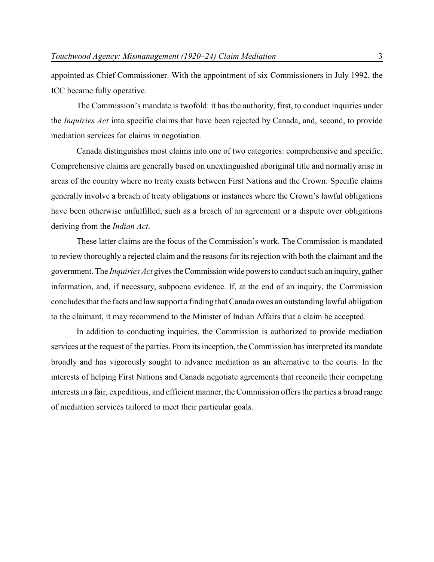appointed as Chief Commissioner. With the appointment of six Commissioners in July 1992, the ICC became fully operative.

The Commission's mandate is twofold: it has the authority, first, to conduct inquiries under the *Inquiries Act* into specific claims that have been rejected by Canada, and, second, to provide mediation services for claims in negotiation.

Canada distinguishes most claims into one of two categories: comprehensive and specific. Comprehensive claims are generally based on unextinguished aboriginal title and normally arise in areas of the country where no treaty exists between First Nations and the Crown. Specific claims generally involve a breach of treaty obligations or instances where the Crown's lawful obligations have been otherwise unfulfilled, such as a breach of an agreement or a dispute over obligations deriving from the *Indian Act*.

These latter claims are the focus of the Commission's work. The Commission is mandated to review thoroughly a rejected claim and the reasons for its rejection with both the claimant and the government. The *Inquiries Act* gives the Commission wide powers to conduct such an inquiry, gather information, and, if necessary, subpoena evidence. If, at the end of an inquiry, the Commission concludes that the facts and law support a finding that Canada owes an outstanding lawful obligation to the claimant, it may recommend to the Minister of Indian Affairs that a claim be accepted.

In addition to conducting inquiries, the Commission is authorized to provide mediation services at the request of the parties. From its inception, the Commission has interpreted its mandate broadly and has vigorously sought to advance mediation as an alternative to the courts. In the interests of helping First Nations and Canada negotiate agreements that reconcile their competing interests in a fair, expeditious, and efficient manner, the Commission offers the parties a broad range of mediation services tailored to meet their particular goals.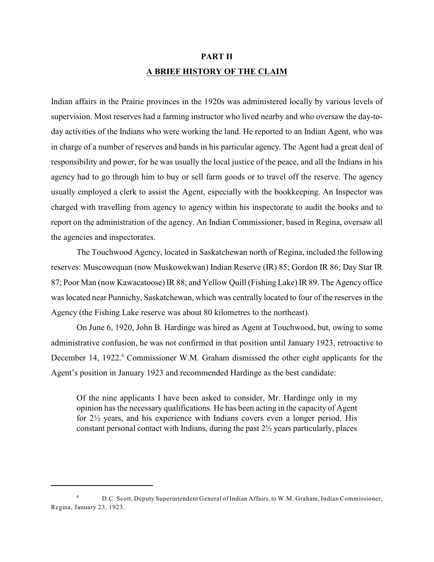## **PART II A BRIEF HISTORY OF THE CLAIM**

Indian affairs in the Prairie provinces in the 1920s was administered locally by various levels of supervision. Most reserves had a farming instructor who lived nearby and who oversaw the day-today activities of the Indians who were working the land. He reported to an Indian Agent, who was in charge of a number of reserves and bands in his particular agency. The Agent had a great deal of responsibility and power, for he was usually the local justice of the peace, and all the Indians in his agency had to go through him to buy or sell farm goods or to travel off the reserve. The agency usually employed a clerk to assist the Agent, especially with the bookkeeping. An Inspector was charged with travelling from agency to agency within his inspectorate to audit the books and to report on the administration of the agency. An Indian Commissioner, based in Regina, oversaw all the agencies and inspectorates.

The Touchwood Agency, located in Saskatchewan north of Regina, included the following reserves: Muscowequan (now Muskowekwan) Indian Reserve (IR) 85; Gordon IR 86; Day Star IR 87; Poor Man (now Kawacatoose) IR 88; and Yellow Quill (Fishing Lake) IR 89. The Agency office was located near Punnichy, Saskatchewan, which was centrally located to four of the reserves in the Agency (the Fishing Lake reserve was about 80 kilometres to the northeast).

On June 6, 1920, John B. Hardinge was hired as Agent at Touchwood, but, owing to some administrative confusion, he was not confirmed in that position until January 1923, retroactive to December 14, 1922.<sup>4</sup> Commissioner W.M. Graham dismissed the other eight applicants for the Agent's position in January 1923 and recommended Hardinge as the best candidate:

Of the nine applicants I have been asked to consider, Mr. Hardinge only in my opinion has the necessary qualifications. He has been acting in the capacity of Agent for 2½ years, and his experience with Indians covers even a longer period. His constant personal contact with Indians, during the past 2½ years particularly, places

<sup>&</sup>lt;sup>4</sup> D.C. Scott, Deputy Superintendent General of Indian Affairs, to W.M. Graham, Indian Commissioner, Regina, January 23, 1923.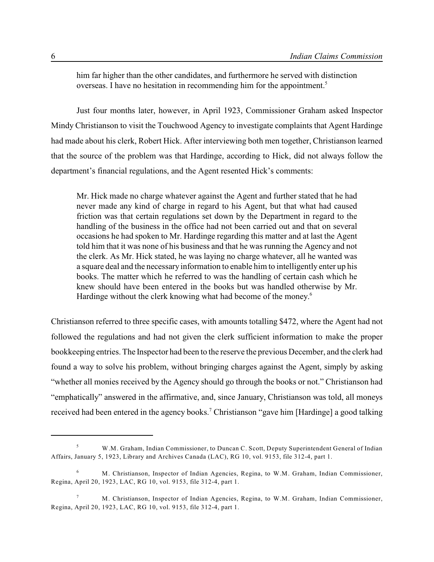him far higher than the other candidates, and furthermore he served with distinction overseas. I have no hesitation in recommending him for the appointment.<sup>5</sup>

Just four months later, however, in April 1923, Commissioner Graham asked Inspector Mindy Christianson to visit the Touchwood Agency to investigate complaints that Agent Hardinge had made about his clerk, Robert Hick. After interviewing both men together, Christianson learned that the source of the problem was that Hardinge, according to Hick, did not always follow the department's financial regulations, and the Agent resented Hick's comments:

Mr. Hick made no charge whatever against the Agent and further stated that he had never made any kind of charge in regard to his Agent, but that what had caused friction was that certain regulations set down by the Department in regard to the handling of the business in the office had not been carried out and that on several occasions he had spoken to Mr. Hardinge regarding this matter and at last the Agent told him that it was none of his business and that he was running the Agency and not the clerk. As Mr. Hick stated, he was laying no charge whatever, all he wanted was a square deal and the necessary information to enable him to intelligently enter up his books. The matter which he referred to was the handling of certain cash which he knew should have been entered in the books but was handled otherwise by Mr. Hardinge without the clerk knowing what had become of the money.<sup>6</sup>

Christianson referred to three specific cases, with amounts totalling \$472, where the Agent had not followed the regulations and had not given the clerk sufficient information to make the proper bookkeeping entries. The Inspector had been to the reserve the previous December, and the clerk had found a way to solve his problem, without bringing charges against the Agent, simply by asking "whether all monies received by the Agency should go through the books or not." Christianson had "emphatically" answered in the affirmative, and, since January, Christianson was told, all moneys received had been entered in the agency books.<sup>7</sup> Christianson "gave him [Hardinge] a good talking

W.M. Graham, Indian Commissioner, to Duncan C. Scott, Deputy Superintendent General of Indian <sup>5</sup> Affairs, January 5, 1923, Library and Archives Canada (LAC), RG 10, vol. 9153, file 312-4, part 1.

M. Christianson, Inspector of Indian Agencies, Regina, to W.M. Graham, Indian Commissioner, 6 Regina, April 20, 1923, LAC, RG 10, vol. 9153, file 312-4, part 1.

M. Christianson, Inspector of Indian Agencies, Regina, to W.M. Graham, Indian Commissioner, <sup>7</sup> Regina, April 20, 1923, LAC, RG 10, vol. 9153, file 312-4, part 1.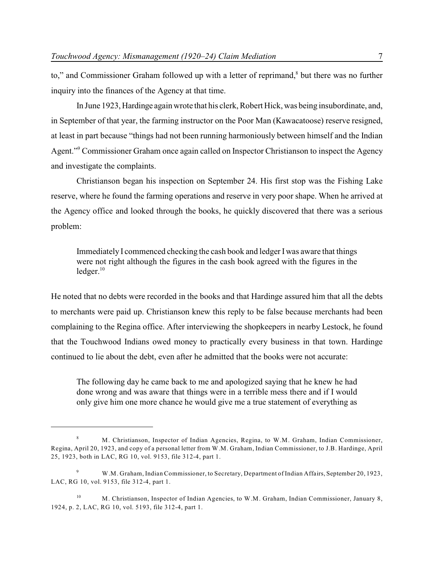to," and Commissioner Graham followed up with a letter of reprimand,<sup>8</sup> but there was no further inquiry into the finances of the Agency at that time.

In June 1923, Hardinge again wrote that his clerk, Robert Hick, was being insubordinate, and, in September of that year, the farming instructor on the Poor Man (Kawacatoose) reserve resigned, at least in part because "things had not been running harmoniously between himself and the Indian Agent." Commissioner Graham once again called on Inspector Christianson to inspect the Agency and investigate the complaints.

Christianson began his inspection on September 24. His first stop was the Fishing Lake reserve, where he found the farming operations and reserve in very poor shape. When he arrived at the Agency office and looked through the books, he quickly discovered that there was a serious problem:

Immediately I commenced checking the cash book and ledger Iwas aware that things were not right although the figures in the cash book agreed with the figures in the  $leq 10$ 

He noted that no debts were recorded in the books and that Hardinge assured him that all the debts to merchants were paid up. Christianson knew this reply to be false because merchants had been complaining to the Regina office. After interviewing the shopkeepers in nearby Lestock, he found that the Touchwood Indians owed money to practically every business in that town. Hardinge continued to lie about the debt, even after he admitted that the books were not accurate:

The following day he came back to me and apologized saying that he knew he had done wrong and was aware that things were in a terrible mess there and if I would only give him one more chance he would give me a true statement of everything as

M. Christianson, Inspector of Indian Agencies, Regina, to W.M. Graham, Indian Commissioner, <sup>8</sup> Regina, April 20, 1923, and copy of a personal letter from W.M. Graham, Indian Commissioner, to J.B. Hardinge, April 25, 1923, both in LAC, RG 10, vol. 9153, file 312-4, part 1.

<sup>&</sup>lt;sup>9</sup> W.M. Graham, Indian Commissioner, to Secretary, Department of Indian Affairs, September 20, 1923, LAC, RG 10, vol. 9153, file 312-4, part 1.

<sup>&</sup>lt;sup>10</sup> M. Christianson, Inspector of Indian Agencies, to W.M. Graham, Indian Commissioner, January 8, 1924, p. 2, LAC, RG 10, vol. 5193, file 312-4, part 1.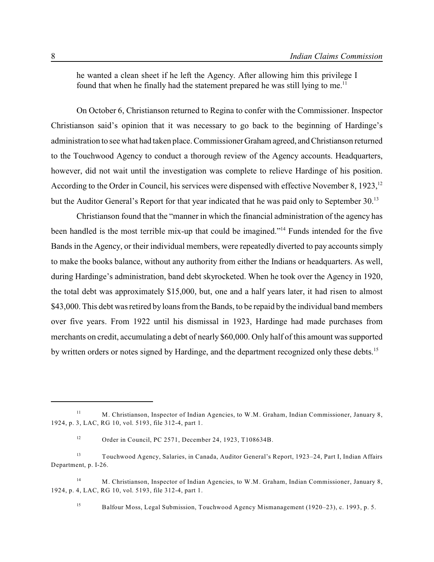he wanted a clean sheet if he left the Agency. After allowing him this privilege I found that when he finally had the statement prepared he was still lying to me.<sup>11</sup>

On October 6, Christianson returned to Regina to confer with the Commissioner. Inspector Christianson said's opinion that it was necessary to go back to the beginning of Hardinge's administration to see what had taken place. Commissioner Graham agreed, and Christianson returned to the Touchwood Agency to conduct a thorough review of the Agency accounts. Headquarters, however, did not wait until the investigation was complete to relieve Hardinge of his position. According to the Order in Council, his services were dispensed with effective November 8, 1923,<sup>12</sup> but the Auditor General's Report for that year indicated that he was paid only to September 30.<sup>13</sup>

Christianson found that the "manner in which the financial administration of the agency has been handled is the most terrible mix-up that could be imagined."<sup>14</sup> Funds intended for the five Bands in the Agency, or their individual members, were repeatedly diverted to pay accounts simply to make the books balance, without any authority from either the Indians or headquarters. As well, during Hardinge's administration, band debt skyrocketed. When he took over the Agency in 1920, the total debt was approximately \$15,000, but, one and a half years later, it had risen to almost \$43,000. This debt was retired by loans from the Bands, to be repaid by the individual band members over five years. From 1922 until his dismissal in 1923, Hardinge had made purchases from merchants on credit, accumulating a debt of nearly \$60,000. Only half of this amount was supported by written orders or notes signed by Hardinge, and the department recognized only these debts.<sup>15</sup>

<sup>14</sup> M. Christianson, Inspector of Indian Agencies, to W.M. Graham, Indian Commissioner, January 8, 1924, p. 4, LAC, RG 10, vol. 5193, file 312-4, part 1.

<sup>15</sup> Balfour Moss, Legal Submission, Touchwood Agency Mismanagement (1920–23), c. 1993, p. 5.

<sup>&</sup>lt;sup>11</sup> M. Christianson, Inspector of Indian Agencies, to W.M. Graham, Indian Commissioner, January 8, 1924, p. 3, LAC, RG 10, vol. 5193, file 312-4, part 1.

Order in Council, PC 2571, December 24, 1923, T108634B. 12

Touchwood Agency, Salaries, in Canada, Auditor General's Report, 1923–24, Part I, Indian Affairs <sup>13</sup> Department, p. I-26.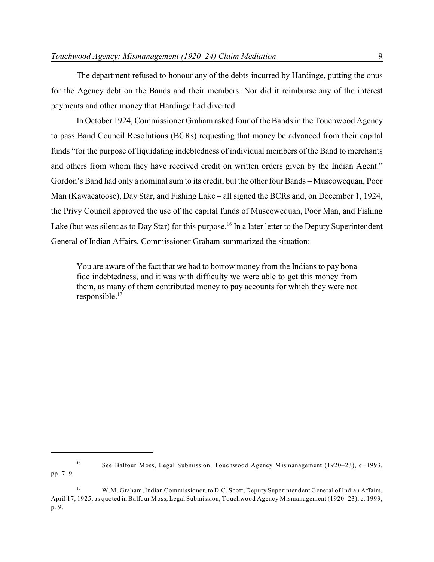The department refused to honour any of the debts incurred by Hardinge, putting the onus for the Agency debt on the Bands and their members. Nor did it reimburse any of the interest payments and other money that Hardinge had diverted.

In October 1924, Commissioner Graham asked four of the Bands in the Touchwood Agency to pass Band Council Resolutions (BCRs) requesting that money be advanced from their capital funds "for the purpose of liquidating indebtedness of individual members of the Band to merchants and others from whom they have received credit on written orders given by the Indian Agent." Gordon's Band had only a nominal sum to its credit, but the other four Bands – Muscowequan, Poor Man (Kawacatoose), Day Star, and Fishing Lake – all signed the BCRs and, on December 1, 1924, the Privy Council approved the use of the capital funds of Muscowequan, Poor Man, and Fishing Lake (but was silent as to Day Star) for this purpose.<sup>16</sup> In a later letter to the Deputy Superintendent General of Indian Affairs, Commissioner Graham summarized the situation:

You are aware of the fact that we had to borrow money from the Indians to pay bona fide indebtedness, and it was with difficulty we were able to get this money from them, as many of them contributed money to pay accounts for which they were not  $responsible.<sup>17</sup>$ 

<sup>&</sup>lt;sup>16</sup> See Balfour Moss, Legal Submission, Touchwood Agency Mismanagement (1920–23), c. 1993, pp. 7–9.

<sup>&</sup>lt;sup>17</sup> W.M. Graham, Indian Commissioner, to D.C. Scott, Deputy Superintendent General of Indian Affairs, April 17, 1925, as quoted in Balfour Moss, Legal Submission, Touchwood Agency Mismanagement (1920–23), c. 1993, p. 9.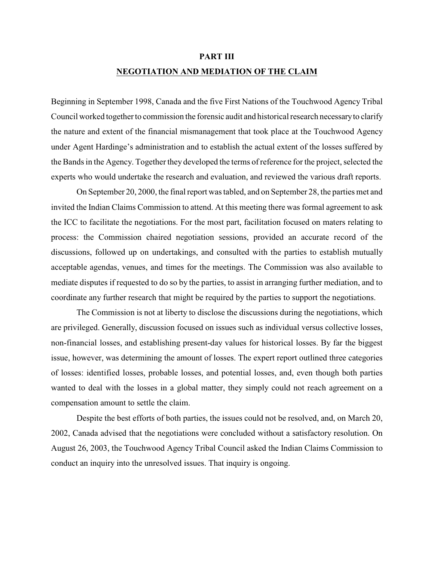#### **PART III**

#### **NEGOTIATION AND MEDIATION OF THE CLAIM**

Beginning in September 1998, Canada and the five First Nations of the Touchwood Agency Tribal Council worked together to commission the forensic audit and historical research necessary to clarify the nature and extent of the financial mismanagement that took place at the Touchwood Agency under Agent Hardinge's administration and to establish the actual extent of the losses suffered by the Bands in the Agency. Together they developed the terms of reference for the project, selected the experts who would undertake the research and evaluation, and reviewed the various draft reports.

On September 20, 2000, the final report was tabled, and on September 28, the parties met and invited the Indian Claims Commission to attend. At this meeting there was formal agreement to ask the ICC to facilitate the negotiations. For the most part, facilitation focused on maters relating to process: the Commission chaired negotiation sessions, provided an accurate record of the discussions, followed up on undertakings, and consulted with the parties to establish mutually acceptable agendas, venues, and times for the meetings. The Commission was also available to mediate disputes if requested to do so by the parties, to assist in arranging further mediation, and to coordinate any further research that might be required by the parties to support the negotiations.

The Commission is not at liberty to disclose the discussions during the negotiations, which are privileged. Generally, discussion focused on issues such as individual versus collective losses, non-financial losses, and establishing present-day values for historical losses. By far the biggest issue, however, was determining the amount of losses. The expert report outlined three categories of losses: identified losses, probable losses, and potential losses, and, even though both parties wanted to deal with the losses in a global matter, they simply could not reach agreement on a compensation amount to settle the claim.

Despite the best efforts of both parties, the issues could not be resolved, and, on March 20, 2002, Canada advised that the negotiations were concluded without a satisfactory resolution. On August 26, 2003, the Touchwood Agency Tribal Council asked the Indian Claims Commission to conduct an inquiry into the unresolved issues. That inquiry is ongoing.